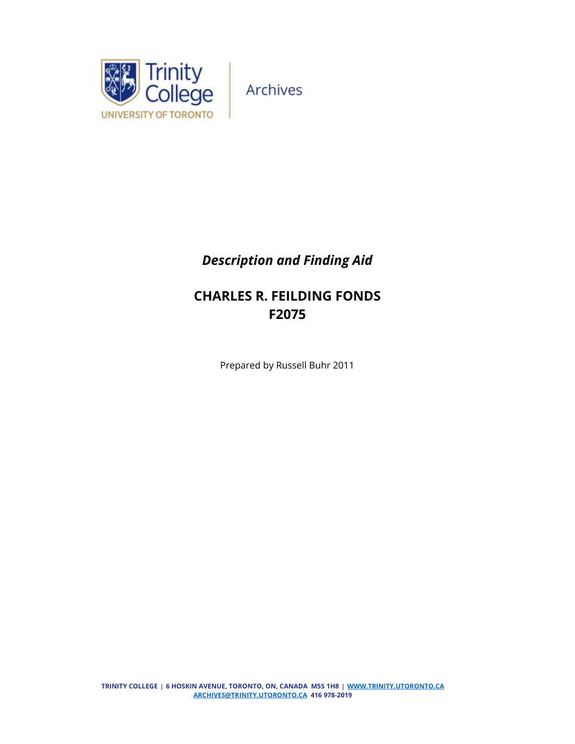

# *Description and Finding Aid*

# **CHARLES R. FEILDING FONDS F2075**

Prepared by Russell Buhr 2011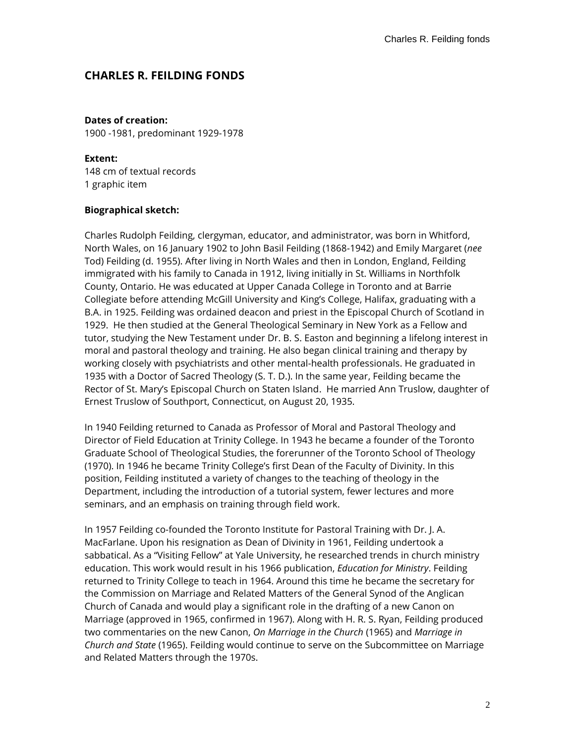# **CHARLES R. FEILDING FONDS**

### **Dates of creation:**

1900 -1981, predominant 1929-1978

### **Extent:**

148 cm of textual records 1 graphic item

### **Biographical sketch:**

Charles Rudolph Feilding, clergyman, educator, and administrator, was born in Whitford, North Wales, on 16 January 1902 to John Basil Feilding (1868-1942) and Emily Margaret (*nee*  Tod) Feilding (d. 1955). After living in North Wales and then in London, England, Feilding immigrated with his family to Canada in 1912, living initially in St. Williams in Northfolk County, Ontario. He was educated at Upper Canada College in Toronto and at Barrie Collegiate before attending McGill University and King's College, Halifax, graduating with a B.A. in 1925. Feilding was ordained deacon and priest in the Episcopal Church of Scotland in 1929. He then studied at the General Theological Seminary in New York as a Fellow and tutor, studying the New Testament under Dr. B. S. Easton and beginning a lifelong interest in moral and pastoral theology and training. He also began clinical training and therapy by working closely with psychiatrists and other mental-health professionals. He graduated in 1935 with a Doctor of Sacred Theology (S. T. D.). In the same year, Feilding became the Rector of St. Mary's Episcopal Church on Staten Island. He married Ann Truslow, daughter of Ernest Truslow of Southport, Connecticut, on August 20, 1935.

In 1940 Feilding returned to Canada as Professor of Moral and Pastoral Theology and Director of Field Education at Trinity College. In 1943 he became a founder of the Toronto Graduate School of Theological Studies, the forerunner of the Toronto School of Theology (1970). In 1946 he became Trinity College's first Dean of the Faculty of Divinity. In this position, Feilding instituted a variety of changes to the teaching of theology in the Department, including the introduction of a tutorial system, fewer lectures and more seminars, and an emphasis on training through field work.

In 1957 Feilding co-founded the Toronto Institute for Pastoral Training with Dr. J. A. MacFarlane. Upon his resignation as Dean of Divinity in 1961, Feilding undertook a sabbatical. As a "Visiting Fellow" at Yale University, he researched trends in church ministry education. This work would result in his 1966 publication, *Education for Ministry*. Feilding returned to Trinity College to teach in 1964. Around this time he became the secretary for the Commission on Marriage and Related Matters of the General Synod of the Anglican Church of Canada and would play a significant role in the drafting of a new Canon on Marriage (approved in 1965, confirmed in 1967). Along with H. R. S. Ryan, Feilding produced two commentaries on the new Canon, *On Marriage in the Church* (1965) and *Marriage in Church and State* (1965). Feilding would continue to serve on the Subcommittee on Marriage and Related Matters through the 1970s.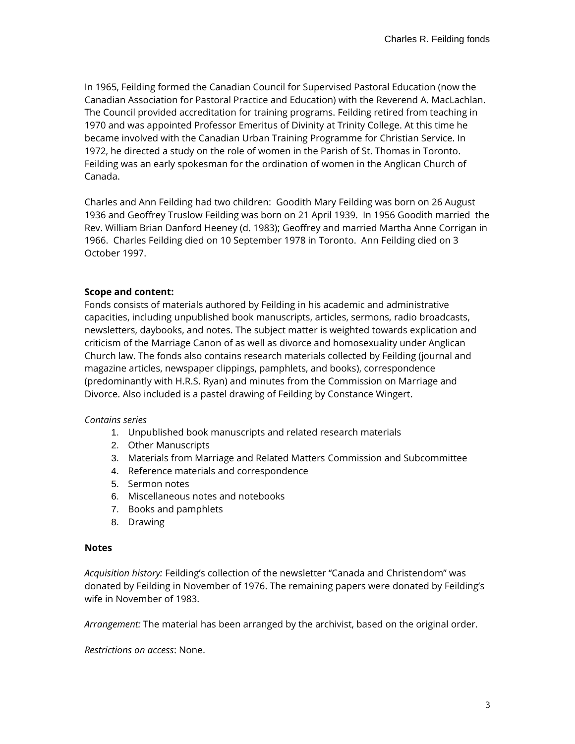In 1965, Feilding formed the Canadian Council for Supervised Pastoral Education (now the Canadian Association for Pastoral Practice and Education) with the Reverend A. MacLachlan. The Council provided accreditation for training programs. Feilding retired from teaching in 1970 and was appointed Professor Emeritus of Divinity at Trinity College. At this time he became involved with the Canadian Urban Training Programme for Christian Service. In 1972, he directed a study on the role of women in the Parish of St. Thomas in Toronto. Feilding was an early spokesman for the ordination of women in the Anglican Church of Canada.

Charles and Ann Feilding had two children: Goodith Mary Feilding was born on 26 August 1936 and Geoffrey Truslow Feilding was born on 21 April 1939. In 1956 Goodith married the Rev. William Brian Danford Heeney (d. 1983); Geoffrey and married Martha Anne Corrigan in 1966. Charles Feilding died on 10 September 1978 in Toronto. Ann Feilding died on 3 October 1997.

### **Scope and content:**

Fonds consists of materials authored by Feilding in his academic and administrative capacities, including unpublished book manuscripts, articles, sermons, radio broadcasts, newsletters, daybooks, and notes. The subject matter is weighted towards explication and criticism of the Marriage Canon of as well as divorce and homosexuality under Anglican Church law. The fonds also contains research materials collected by Feilding (journal and magazine articles, newspaper clippings, pamphlets, and books), correspondence (predominantly with H.R.S. Ryan) and minutes from the Commission on Marriage and Divorce. Also included is a pastel drawing of Feilding by Constance Wingert.

### *Contains series*

- 1. Unpublished book manuscripts and related research materials
- 2. Other Manuscripts
- 3. Materials from Marriage and Related Matters Commission and Subcommittee
- 4. Reference materials and correspondence
- 5. Sermon notes
- 6. Miscellaneous notes and notebooks
- 7. Books and pamphlets
- 8. Drawing

### **Notes**

*Acquisition history:* Feilding's collection of the newsletter "Canada and Christendom" was donated by Feilding in November of 1976. The remaining papers were donated by Feilding's wife in November of 1983.

*Arrangement:* The material has been arranged by the archivist, based on the original order.

*Restrictions on access*: None.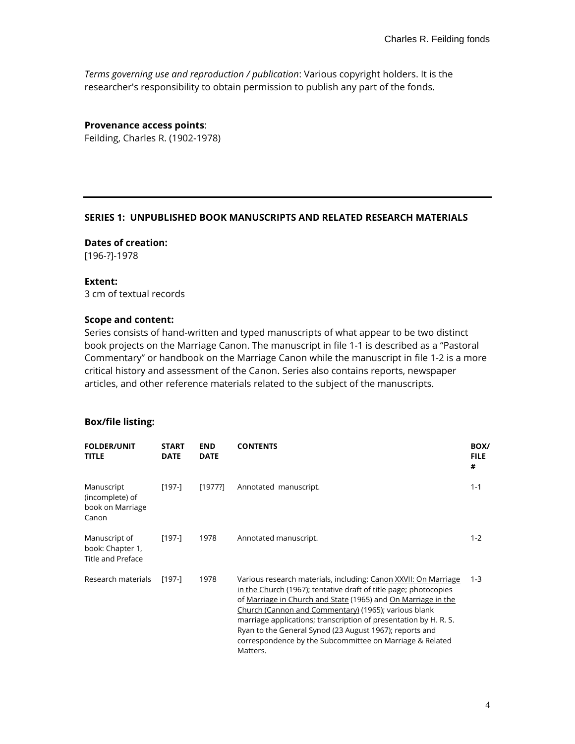*Terms governing use and reproduction / publication*: Various copyright holders. It is the researcher's responsibility to obtain permission to publish any part of the fonds.

**Provenance access points**: Feilding, Charles R. (1902-1978)

#### **SERIES 1: UNPUBLISHED BOOK MANUSCRIPTS AND RELATED RESEARCH MATERIALS**

**Dates of creation:**  [196-?]-1978

#### **Extent:**

3 cm of textual records

### **Scope and content:**

Series consists of hand-written and typed manuscripts of what appear to be two distinct book projects on the Marriage Canon. The manuscript in file 1-1 is described as a "Pastoral Commentary" or handbook on the Marriage Canon while the manuscript in file 1-2 is a more critical history and assessment of the Canon. Series also contains reports, newspaper articles, and other reference materials related to the subject of the manuscripts.

| <b>FOLDER/UNIT</b><br><b>TITLE</b>                            | <b>START</b><br><b>DATE</b> | <b>END</b><br><b>DATE</b> | <b>CONTENTS</b>                                                                                                                                                                                                                                                                                                                                                                                                                                                     | BOX/<br><b>FILE</b><br># |
|---------------------------------------------------------------|-----------------------------|---------------------------|---------------------------------------------------------------------------------------------------------------------------------------------------------------------------------------------------------------------------------------------------------------------------------------------------------------------------------------------------------------------------------------------------------------------------------------------------------------------|--------------------------|
| Manuscript<br>(incomplete) of<br>book on Marriage<br>Canon    | [197-]                      | [1977?]                   | Annotated manuscript.                                                                                                                                                                                                                                                                                                                                                                                                                                               | $1 - 1$                  |
| Manuscript of<br>book: Chapter 1,<br><b>Title and Preface</b> | $[197-]$                    | 1978                      | Annotated manuscript.                                                                                                                                                                                                                                                                                                                                                                                                                                               | $1 - 2$                  |
| Research materials                                            | $[197-]$                    | 1978                      | Various research materials, including: Canon XXVII: On Marriage<br>in the Church (1967); tentative draft of title page; photocopies<br>of Marriage in Church and State (1965) and On Marriage in the<br>Church (Cannon and Commentary) (1965); various blank<br>marriage applications; transcription of presentation by H. R. S.<br>Ryan to the General Synod (23 August 1967); reports and<br>correspondence by the Subcommittee on Marriage & Related<br>Matters. | $1 - 3$                  |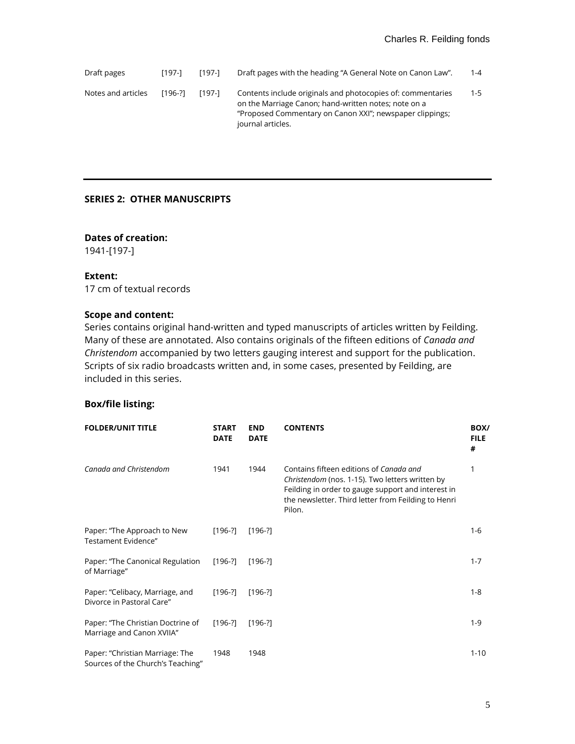Draft pages [197-] [197-] Draft pages with the heading "A General Note on Canon Law". 1-4 Notes and articles [196-?] [197-] Contents include originals and photocopies of: commentaries on the Marriage Canon; hand-written notes; note on a "Proposed Commentary on Canon XXI"; newspaper clippings; journal articles. 1-5

### **SERIES 2: OTHER MANUSCRIPTS**

### **Dates of creation:**

1941-[197-]

### **Extent:**

17 cm of textual records

### **Scope and content:**

Series contains original hand-written and typed manuscripts of articles written by Feilding. Many of these are annotated. Also contains originals of the fifteen editions of *Canada and Christendom* accompanied by two letters gauging interest and support for the publication. Scripts of six radio broadcasts written and, in some cases, presented by Feilding, are included in this series.

| <b>FOLDER/UNIT TITLE</b>                                             | <b>START</b><br><b>DATE</b> | <b>END</b><br><b>DATE</b> | <b>CONTENTS</b>                                                                                                                                                                                                   | BOX/<br><b>FILE</b><br># |
|----------------------------------------------------------------------|-----------------------------|---------------------------|-------------------------------------------------------------------------------------------------------------------------------------------------------------------------------------------------------------------|--------------------------|
| Canada and Christendom                                               | 1941                        | 1944                      | Contains fifteen editions of Canada and<br>Christendom (nos. 1-15). Two letters written by<br>Feilding in order to gauge support and interest in<br>the newsletter. Third letter from Feilding to Henri<br>Pilon. | 1                        |
| Paper: "The Approach to New<br>Testament Evidence"                   | $[196-?]$                   | $[196-?]$                 |                                                                                                                                                                                                                   | $1 - 6$                  |
| Paper: "The Canonical Regulation<br>of Marriage"                     | $[196-?]$                   | $[196-?]$                 |                                                                                                                                                                                                                   | $1 - 7$                  |
| Paper: "Celibacy, Marriage, and<br>Divorce in Pastoral Care"         | $[196-?]$                   | $[196-?]$                 |                                                                                                                                                                                                                   | $1 - 8$                  |
| Paper: "The Christian Doctrine of<br>Marriage and Canon XVIIA"       | $[196-?]$                   | $[196-?]$                 |                                                                                                                                                                                                                   | $1 - 9$                  |
| Paper: "Christian Marriage: The<br>Sources of the Church's Teaching" | 1948                        | 1948                      |                                                                                                                                                                                                                   | $1 - 10$                 |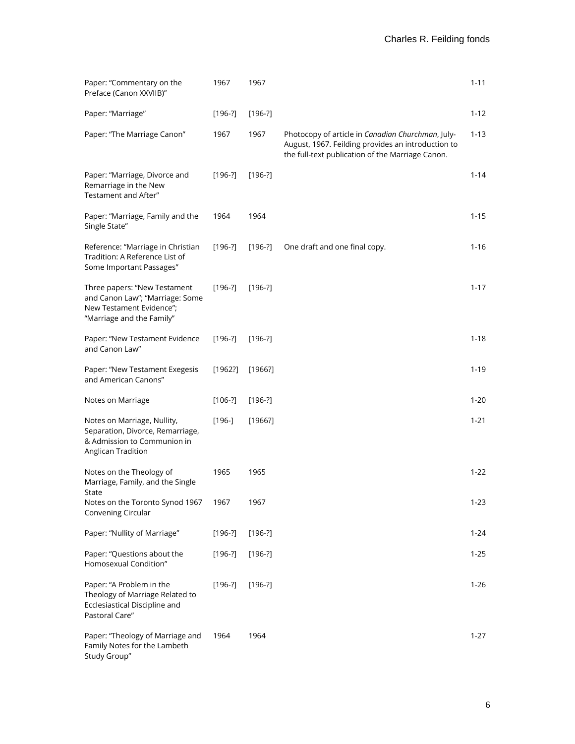| Paper: "Commentary on the<br>Preface (Canon XXVIIB)"                                                                     | 1967      | 1967      |                                                                                                                                                             | $1 - 11$ |
|--------------------------------------------------------------------------------------------------------------------------|-----------|-----------|-------------------------------------------------------------------------------------------------------------------------------------------------------------|----------|
| Paper: "Marriage"                                                                                                        | $[196-?]$ | $[196-?]$ |                                                                                                                                                             | $1 - 12$ |
| Paper: "The Marriage Canon"                                                                                              | 1967      | 1967      | Photocopy of article in Canadian Churchman, July-<br>August, 1967. Feilding provides an introduction to<br>the full-text publication of the Marriage Canon. | $1 - 13$ |
| Paper: "Marriage, Divorce and<br>Remarriage in the New<br>Testament and After"                                           | $[196-?]$ | $[196-?]$ |                                                                                                                                                             | $1 - 14$ |
| Paper: "Marriage, Family and the<br>Single State"                                                                        | 1964      | 1964      |                                                                                                                                                             | $1 - 15$ |
| Reference: "Marriage in Christian<br>Tradition: A Reference List of<br>Some Important Passages"                          | $[196-?]$ | $[196-?]$ | One draft and one final copy.                                                                                                                               | $1 - 16$ |
| Three papers: "New Testament<br>and Canon Law"; "Marriage: Some<br>New Testament Evidence";<br>"Marriage and the Family" | $[196-?]$ | $[196-?]$ |                                                                                                                                                             | $1 - 17$ |
| Paper: "New Testament Evidence<br>and Canon Law"                                                                         | $[196-?]$ | $[196-?]$ |                                                                                                                                                             | $1 - 18$ |
| Paper: "New Testament Exegesis<br>and American Canons"                                                                   | [1962]    | [1966!]   |                                                                                                                                                             | $1 - 19$ |
| Notes on Marriage                                                                                                        | $[106-?]$ | $[196-?]$ |                                                                                                                                                             | $1 - 20$ |
| Notes on Marriage, Nullity,<br>Separation, Divorce, Remarriage,<br>& Admission to Communion in<br>Anglican Tradition     | $[196-]$  | [1966!]   |                                                                                                                                                             | $1 - 21$ |
| Notes on the Theology of<br>Marriage, Family, and the Single<br>State                                                    | 1965      | 1965      |                                                                                                                                                             | $1 - 22$ |
| Notes on the Toronto Synod 1967<br>Convening Circular                                                                    | 1967      | 1967      |                                                                                                                                                             | $1 - 23$ |
| Paper: "Nullity of Marriage"                                                                                             | $[196-?]$ | $[196-?]$ |                                                                                                                                                             | 1-24     |
| Paper: "Questions about the<br>Homosexual Condition"                                                                     | $[196-?]$ | $[196-?]$ |                                                                                                                                                             | 1-25     |
| Paper: "A Problem in the<br>Theology of Marriage Related to<br>Ecclesiastical Discipline and<br>Pastoral Care"           | $[196-?]$ | $[196-?]$ |                                                                                                                                                             | $1 - 26$ |
| Paper: "Theology of Marriage and<br>Family Notes for the Lambeth<br>Study Group"                                         | 1964      | 1964      |                                                                                                                                                             | $1 - 27$ |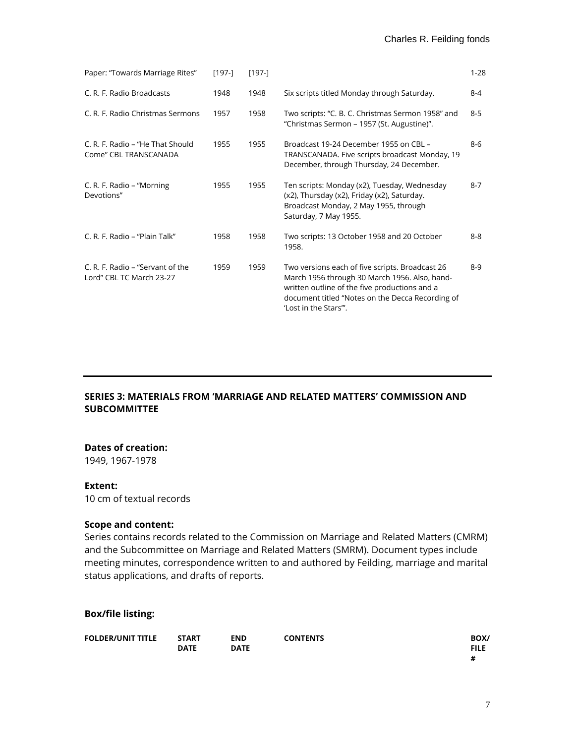| Paper: "Towards Marriage Rites"                              | $[197-]$ | $[197-]$ |                                                                                                                                                                                                                                 | $1 - 28$ |
|--------------------------------------------------------------|----------|----------|---------------------------------------------------------------------------------------------------------------------------------------------------------------------------------------------------------------------------------|----------|
| C. R. F. Radio Broadcasts                                    | 1948     | 1948     | Six scripts titled Monday through Saturday.                                                                                                                                                                                     | $8 - 4$  |
| C. R. F. Radio Christmas Sermons                             | 1957     | 1958     | Two scripts: "C. B. C. Christmas Sermon 1958" and<br>"Christmas Sermon - 1957 (St. Augustine)".                                                                                                                                 | $8 - 5$  |
| C. R. F. Radio – "He That Should<br>Come" CBL TRANSCANADA    | 1955     | 1955     | Broadcast 19-24 December 1955 on CBL -<br>TRANSCANADA. Five scripts broadcast Monday, 19<br>December, through Thursday, 24 December.                                                                                            | $8-6$    |
| C. R. F. Radio - "Morning<br>Devotions"                      | 1955     | 1955     | Ten scripts: Monday (x2), Tuesday, Wednesday<br>(x2), Thursday (x2), Friday (x2), Saturday.<br>Broadcast Monday, 2 May 1955, through<br>Saturday, 7 May 1955.                                                                   | $8 - 7$  |
| C. R. F. Radio - "Plain Talk"                                | 1958     | 1958     | Two scripts: 13 October 1958 and 20 October<br>1958.                                                                                                                                                                            | $8 - 8$  |
| C. R. F. Radio – "Servant of the<br>Lord" CBL TC March 23-27 | 1959     | 1959     | Two versions each of five scripts. Broadcast 26<br>March 1956 through 30 March 1956. Also, hand-<br>written outline of the five productions and a<br>document titled "Notes on the Decca Recording of<br>'Lost in the Stars'''. | $8-9$    |

### **SERIES 3: MATERIALS FROM 'MARRIAGE AND RELATED MATTERS' COMMISSION AND SUBCOMMITTEE**

### **Dates of creation:**

1949, 1967-1978

#### **Extent:**

10 cm of textual records

### **Scope and content:**

Series contains records related to the Commission on Marriage and Related Matters (CMRM) and the Subcommittee on Marriage and Related Matters (SMRM). Document types include meeting minutes, correspondence written to and authored by Feilding, marriage and marital status applications, and drafts of reports.

| <b>FOLDER/UNIT TITLE</b> | <b>START</b> | <b>END</b>  | <b>CONTENTS</b> | BOX/        |
|--------------------------|--------------|-------------|-----------------|-------------|
|                          | <b>DATE</b>  | <b>DATE</b> |                 | <b>FILE</b> |
|                          |              |             |                 | #           |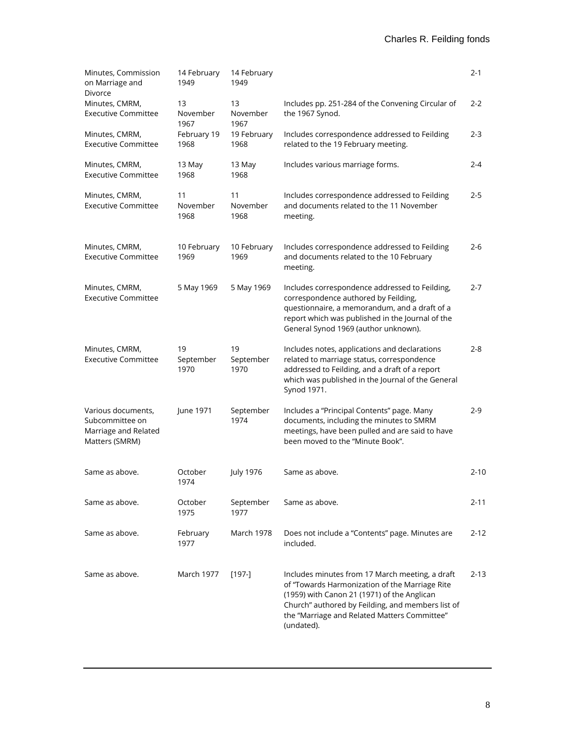| Minutes, Commission<br>on Marriage and<br>Divorce                               | 14 February<br>1949     | 14 February<br>1949     |                                                                                                                                                                                                                                                                     | $2 - 1$  |
|---------------------------------------------------------------------------------|-------------------------|-------------------------|---------------------------------------------------------------------------------------------------------------------------------------------------------------------------------------------------------------------------------------------------------------------|----------|
| Minutes, CMRM,<br><b>Executive Committee</b>                                    | 13<br>November<br>1967  | 13<br>November<br>1967  | Includes pp. 251-284 of the Convening Circular of<br>the 1967 Synod.                                                                                                                                                                                                | $2 - 2$  |
| Minutes, CMRM,<br><b>Executive Committee</b>                                    | February 19<br>1968     | 19 February<br>1968     | Includes correspondence addressed to Feilding<br>related to the 19 February meeting.                                                                                                                                                                                | $2 - 3$  |
| Minutes, CMRM,<br><b>Executive Committee</b>                                    | 13 May<br>1968          | 13 May<br>1968          | Includes various marriage forms.                                                                                                                                                                                                                                    | $2 - 4$  |
| Minutes, CMRM,<br><b>Executive Committee</b>                                    | 11<br>November<br>1968  | 11<br>November<br>1968  | Includes correspondence addressed to Feilding<br>and documents related to the 11 November<br>meeting.                                                                                                                                                               | $2 - 5$  |
| Minutes, CMRM,<br><b>Executive Committee</b>                                    | 10 February<br>1969     | 10 February<br>1969     | Includes correspondence addressed to Feilding<br>and documents related to the 10 February<br>meeting.                                                                                                                                                               | $2 - 6$  |
| Minutes, CMRM,<br><b>Executive Committee</b>                                    | 5 May 1969              | 5 May 1969              | Includes correspondence addressed to Feilding,<br>correspondence authored by Feilding,<br>questionnaire, a memorandum, and a draft of a<br>report which was published in the Journal of the<br>General Synod 1969 (author unknown).                                 | $2 - 7$  |
| Minutes, CMRM,<br><b>Executive Committee</b>                                    | 19<br>September<br>1970 | 19<br>September<br>1970 | Includes notes, applications and declarations<br>related to marriage status, correspondence<br>addressed to Feilding, and a draft of a report<br>which was published in the Journal of the General<br>Synod 1971.                                                   | $2 - 8$  |
| Various documents,<br>Subcommittee on<br>Marriage and Related<br>Matters (SMRM) | June 1971               | September<br>1974       | Includes a "Principal Contents" page. Many<br>documents, including the minutes to SMRM<br>meetings, have been pulled and are said to have<br>been moved to the "Minute Book".                                                                                       | $2-9$    |
| Same as above.                                                                  | October<br>1974         | <b>July 1976</b>        | Same as above.                                                                                                                                                                                                                                                      | $2 - 10$ |
| Same as above.                                                                  | October<br>1975         | September<br>1977       | Same as above.                                                                                                                                                                                                                                                      | $2 - 11$ |
| Same as above.                                                                  | February<br>1977        | March 1978              | Does not include a "Contents" page. Minutes are<br>included.                                                                                                                                                                                                        | $2 - 12$ |
| Same as above.                                                                  | March 1977              | $[197-]$                | Includes minutes from 17 March meeting, a draft<br>of "Towards Harmonization of the Marriage Rite<br>(1959) with Canon 21 (1971) of the Anglican<br>Church" authored by Feilding, and members list of<br>the "Marriage and Related Matters Committee"<br>(undated). | $2 - 13$ |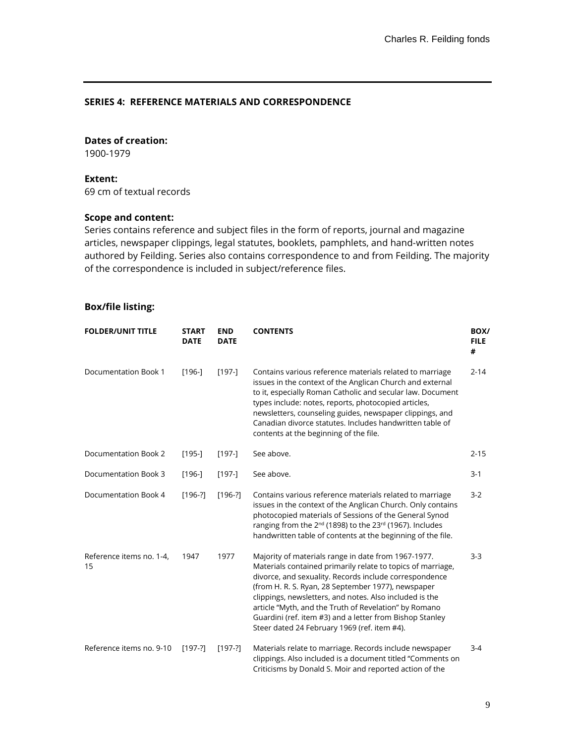#### **SERIES 4: REFERENCE MATERIALS AND CORRESPONDENCE**

### **Dates of creation:**

1900-1979

#### **Extent:**

69 cm of textual records

#### **Scope and content:**

Series contains reference and subject files in the form of reports, journal and magazine articles, newspaper clippings, legal statutes, booklets, pamphlets, and hand-written notes authored by Feilding. Series also contains correspondence to and from Feilding. The majority of the correspondence is included in subject/reference files.

| <b>FOLDER/UNIT TITLE</b>       | <b>START</b><br><b>DATE</b> | <b>END</b><br><b>DATE</b> | <b>CONTENTS</b>                                                                                                                                                                                                                                                                                                                                                                                                                                                    | BOX/<br><b>FILE</b><br># |
|--------------------------------|-----------------------------|---------------------------|--------------------------------------------------------------------------------------------------------------------------------------------------------------------------------------------------------------------------------------------------------------------------------------------------------------------------------------------------------------------------------------------------------------------------------------------------------------------|--------------------------|
| Documentation Book 1           | $[196-]$                    | $[197-]$                  | Contains various reference materials related to marriage<br>issues in the context of the Anglican Church and external<br>to it, especially Roman Catholic and secular law. Document<br>types include: notes, reports, photocopied articles,<br>newsletters, counseling guides, newspaper clippings, and<br>Canadian divorce statutes. Includes handwritten table of<br>contents at the beginning of the file.                                                      | $2 - 14$                 |
| Documentation Book 2           | $[195-]$                    | $[197-]$                  | See above.                                                                                                                                                                                                                                                                                                                                                                                                                                                         | $2 - 15$                 |
| Documentation Book 3           | $[196-]$                    | $[197-]$                  | See above.                                                                                                                                                                                                                                                                                                                                                                                                                                                         | $3 - 1$                  |
| Documentation Book 4           | $[196-?]$                   | $[196-?]$                 | Contains various reference materials related to marriage<br>issues in the context of the Anglican Church. Only contains<br>photocopied materials of Sessions of the General Synod<br>ranging from the 2 <sup>nd</sup> (1898) to the 23 <sup>rd</sup> (1967). Includes<br>handwritten table of contents at the beginning of the file.                                                                                                                               | $3 - 2$                  |
| Reference items no. 1-4,<br>15 | 1947                        | 1977                      | Majority of materials range in date from 1967-1977.<br>Materials contained primarily relate to topics of marriage,<br>divorce, and sexuality. Records include correspondence<br>(from H. R. S. Ryan, 28 September 1977), newspaper<br>clippings, newsletters, and notes. Also included is the<br>article "Myth, and the Truth of Revelation" by Romano<br>Guardini (ref. item #3) and a letter from Bishop Stanley<br>Steer dated 24 February 1969 (ref. item #4). | $3-3$                    |
| Reference items no. 9-10       | $[197-?]$                   | $[197-?]$                 | Materials relate to marriage. Records include newspaper<br>clippings. Also included is a document titled "Comments on<br>Criticisms by Donald S. Moir and reported action of the                                                                                                                                                                                                                                                                                   | $3 - 4$                  |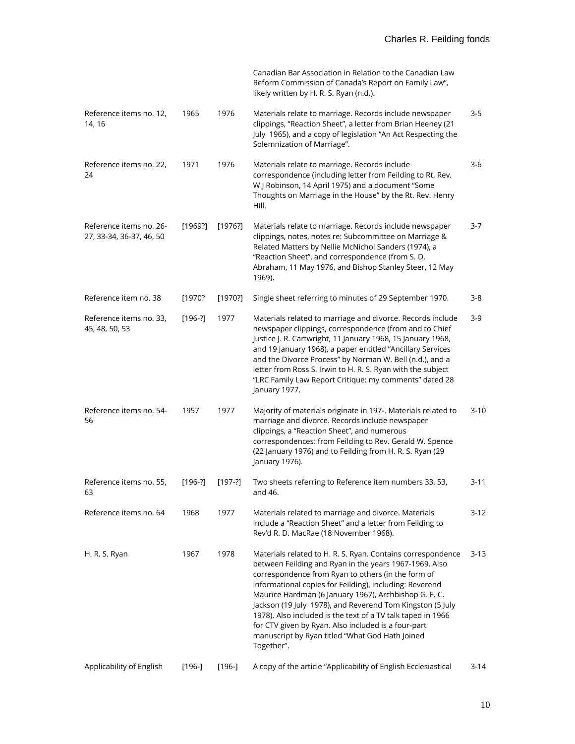|                                                     |           |           | Canadian Bar Association in Relation to the Canadian Law<br>Reform Commission of Canada's Report on Family Law",<br>likely written by H. R. S. Ryan (n.d.).                                                                                                                                                                                                                                                                                                                                                                                         |          |
|-----------------------------------------------------|-----------|-----------|-----------------------------------------------------------------------------------------------------------------------------------------------------------------------------------------------------------------------------------------------------------------------------------------------------------------------------------------------------------------------------------------------------------------------------------------------------------------------------------------------------------------------------------------------------|----------|
| Reference items no. 12,<br>14, 16                   | 1965      | 1976      | Materials relate to marriage. Records include newspaper<br>clippings, "Reaction Sheet", a letter from Brian Heeney (21<br>July 1965), and a copy of legislation "An Act Respecting the<br>Solemnization of Marriage".                                                                                                                                                                                                                                                                                                                               | $3 - 5$  |
| Reference items no. 22,<br>24                       | 1971      | 1976      | Materials relate to marriage. Records include<br>correspondence (including letter from Feilding to Rt. Rev.<br>W J Robinson, 14 April 1975) and a document "Some<br>Thoughts on Marriage in the House" by the Rt. Rev. Henry<br>Hill.                                                                                                                                                                                                                                                                                                               | $3-6$    |
| Reference items no. 26-<br>27, 33-34, 36-37, 46, 50 | [1969?]   | [1976?]   | Materials relate to marriage. Records include newspaper<br>clippings, notes, notes re: Subcommittee on Marriage &<br>Related Matters by Nellie McNichol Sanders (1974), a<br>"Reaction Sheet", and correspondence (from S. D.<br>Abraham, 11 May 1976, and Bishop Stanley Steer, 12 May<br>1969).                                                                                                                                                                                                                                                   | $3 - 7$  |
| Reference item no. 38                               | [1970?    | [1970?]   | Single sheet referring to minutes of 29 September 1970.                                                                                                                                                                                                                                                                                                                                                                                                                                                                                             | $3 - 8$  |
| Reference items no. 33,<br>45, 48, 50, 53           | $[196-?]$ | 1977      | Materials related to marriage and divorce. Records include<br>newspaper clippings, correspondence (from and to Chief<br>Justice J. R. Cartwright, 11 January 1968, 15 January 1968,<br>and 19 January 1968), a paper entitled "Ancillary Services<br>and the Divorce Process" by Norman W. Bell (n.d.), and a<br>letter from Ross S. Irwin to H. R. S. Ryan with the subject<br>"LRC Family Law Report Critique: my comments" dated 28<br>January 1977.                                                                                             | $3-9$    |
| Reference items no. 54-<br>56                       | 1957      | 1977      | Majority of materials originate in 197-. Materials related to<br>marriage and divorce. Records include newspaper<br>clippings, a "Reaction Sheet", and numerous<br>correspondences: from Feilding to Rev. Gerald W. Spence<br>(22 January 1976) and to Feilding from H. R. S. Ryan (29<br>January 1976).                                                                                                                                                                                                                                            | $3-10$   |
| Reference items no. 55,<br>63                       | $[196-?]$ | $[197-?]$ | Two sheets referring to Reference item numbers 33, 53,<br>and 46.                                                                                                                                                                                                                                                                                                                                                                                                                                                                                   | $3 - 11$ |
| Reference items no. 64                              | 1968      | 1977      | Materials related to marriage and divorce. Materials<br>include a "Reaction Sheet" and a letter from Feilding to<br>Rev'd R. D. MacRae (18 November 1968).                                                                                                                                                                                                                                                                                                                                                                                          | $3-12$   |
| H. R. S. Ryan                                       | 1967      | 1978      | Materials related to H. R. S. Ryan. Contains correspondence<br>between Feilding and Ryan in the years 1967-1969. Also<br>correspondence from Ryan to others (in the form of<br>informational copies for Feilding), including: Reverend<br>Maurice Hardman (6 January 1967), Archbishop G. F. C.<br>Jackson (19 July 1978), and Reverend Tom Kingston (5 July<br>1978). Also included is the text of a TV talk taped in 1966<br>for CTV given by Ryan. Also included is a four-part<br>manuscript by Ryan titled "What God Hath Joined<br>Together". | $3-13$   |
| Applicability of English                            | $[196-]$  | $[196-]$  | A copy of the article "Applicability of English Ecclesiastical                                                                                                                                                                                                                                                                                                                                                                                                                                                                                      | 3-14     |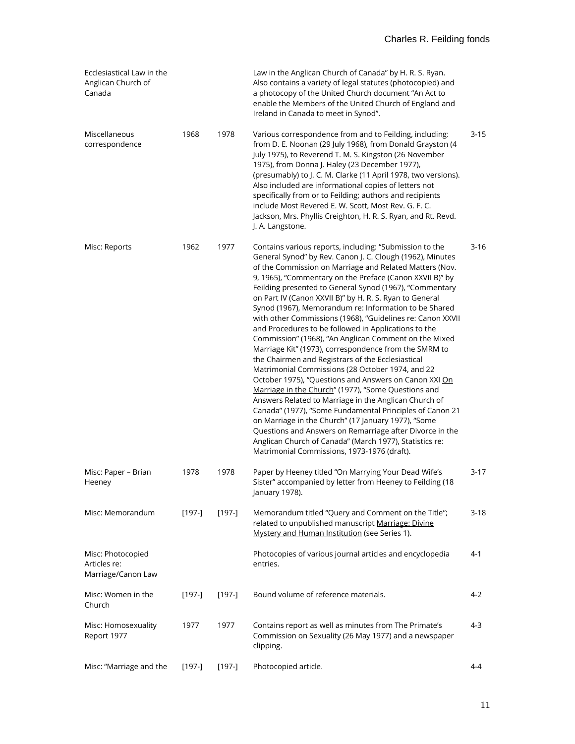| Ecclesiastical Law in the<br>Anglican Church of<br>Canada |          |          | Law in the Anglican Church of Canada" by H. R. S. Ryan.<br>Also contains a variety of legal statutes (photocopied) and<br>a photocopy of the United Church document "An Act to<br>enable the Members of the United Church of England and<br>Ireland in Canada to meet in Synod".                                                                                                                                                                                                                                                                                                                                                                                                                                                                                                                                                                                                                                                                                                                                                                                                                                                                                                                                                              |          |
|-----------------------------------------------------------|----------|----------|-----------------------------------------------------------------------------------------------------------------------------------------------------------------------------------------------------------------------------------------------------------------------------------------------------------------------------------------------------------------------------------------------------------------------------------------------------------------------------------------------------------------------------------------------------------------------------------------------------------------------------------------------------------------------------------------------------------------------------------------------------------------------------------------------------------------------------------------------------------------------------------------------------------------------------------------------------------------------------------------------------------------------------------------------------------------------------------------------------------------------------------------------------------------------------------------------------------------------------------------------|----------|
| Miscellaneous<br>correspondence                           | 1968     | 1978     | Various correspondence from and to Feilding, including:<br>from D. E. Noonan (29 July 1968), from Donald Grayston (4<br>July 1975), to Reverend T. M. S. Kingston (26 November<br>1975), from Donna J. Haley (23 December 1977),<br>(presumably) to J. C. M. Clarke (11 April 1978, two versions).<br>Also included are informational copies of letters not<br>specifically from or to Feilding; authors and recipients<br>include Most Revered E. W. Scott, Most Rev. G. F. C.<br>Jackson, Mrs. Phyllis Creighton, H. R. S. Ryan, and Rt. Revd.<br>J. A. Langstone.                                                                                                                                                                                                                                                                                                                                                                                                                                                                                                                                                                                                                                                                          | $3 - 15$ |
| Misc: Reports                                             | 1962     | 1977     | Contains various reports, including: "Submission to the<br>General Synod" by Rev. Canon J. C. Clough (1962), Minutes<br>of the Commission on Marriage and Related Matters (Nov.<br>9, 1965), "Commentary on the Preface (Canon XXVII B)" by<br>Feilding presented to General Synod (1967), "Commentary<br>on Part IV (Canon XXVII B)" by H. R. S. Ryan to General<br>Synod (1967), Memorandum re: Information to be Shared<br>with other Commissions (1968), "Guidelines re: Canon XXVII<br>and Procedures to be followed in Applications to the<br>Commission" (1968), "An Anglican Comment on the Mixed<br>Marriage Kit" (1973), correspondence from the SMRM to<br>the Chairmen and Registrars of the Ecclesiastical<br>Matrimonial Commissions (28 October 1974, and 22<br>October 1975), "Questions and Answers on Canon XXI On<br>Marriage in the Church" (1977), "Some Questions and<br>Answers Related to Marriage in the Anglican Church of<br>Canada" (1977), "Some Fundamental Principles of Canon 21<br>on Marriage in the Church" (17 January 1977), "Some<br>Questions and Answers on Remarriage after Divorce in the<br>Anglican Church of Canada" (March 1977), Statistics re:<br>Matrimonial Commissions, 1973-1976 (draft). | $3-16$   |
| Misc: Paper - Brian<br>Heeney                             | 1978     | 1978     | Paper by Heeney titled "On Marrying Your Dead Wife's<br>Sister" accompanied by letter from Heeney to Feilding (18<br>January 1978).                                                                                                                                                                                                                                                                                                                                                                                                                                                                                                                                                                                                                                                                                                                                                                                                                                                                                                                                                                                                                                                                                                           | $3-17$   |
| Misc: Memorandum                                          | $[197-]$ | $[197-]$ | Memorandum titled "Query and Comment on the Title";<br>related to unpublished manuscript Marriage: Divine<br>Mystery and Human Institution (see Series 1).                                                                                                                                                                                                                                                                                                                                                                                                                                                                                                                                                                                                                                                                                                                                                                                                                                                                                                                                                                                                                                                                                    | $3 - 18$ |
| Misc: Photocopied<br>Articles re:<br>Marriage/Canon Law   |          |          | Photocopies of various journal articles and encyclopedia<br>entries.                                                                                                                                                                                                                                                                                                                                                                                                                                                                                                                                                                                                                                                                                                                                                                                                                                                                                                                                                                                                                                                                                                                                                                          | $4-1$    |
| Misc: Women in the<br>Church                              | $[197-]$ | $[197-]$ | Bound volume of reference materials.                                                                                                                                                                                                                                                                                                                                                                                                                                                                                                                                                                                                                                                                                                                                                                                                                                                                                                                                                                                                                                                                                                                                                                                                          | $4-2$    |
| Misc: Homosexuality<br>Report 1977                        | 1977     | 1977     | Contains report as well as minutes from The Primate's<br>Commission on Sexuality (26 May 1977) and a newspaper<br>clipping.                                                                                                                                                                                                                                                                                                                                                                                                                                                                                                                                                                                                                                                                                                                                                                                                                                                                                                                                                                                                                                                                                                                   | 4-3      |
| Misc: "Marriage and the                                   | $[197-]$ | $[197-]$ | Photocopied article.                                                                                                                                                                                                                                                                                                                                                                                                                                                                                                                                                                                                                                                                                                                                                                                                                                                                                                                                                                                                                                                                                                                                                                                                                          | $4 - 4$  |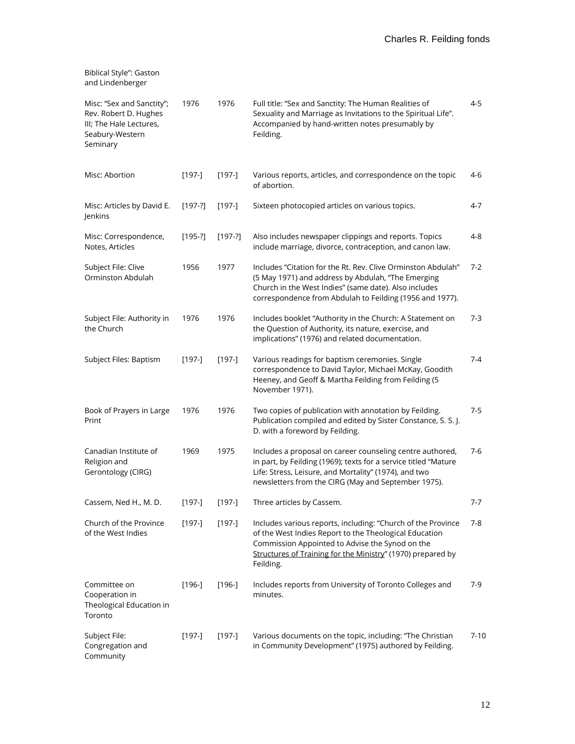| and Lindenberger                                                                                             |           |           |                                                                                                                                                                                                                                                       |          |
|--------------------------------------------------------------------------------------------------------------|-----------|-----------|-------------------------------------------------------------------------------------------------------------------------------------------------------------------------------------------------------------------------------------------------------|----------|
| Misc: "Sex and Sanctity";<br>Rev. Robert D. Hughes<br>III; The Hale Lectures,<br>Seabury-Western<br>Seminary | 1976      | 1976      | Full title: "Sex and Sanctity: The Human Realities of<br>Sexuality and Marriage as Invitations to the Spiritual Life".<br>Accompanied by hand-written notes presumably by<br>Feilding.                                                                | $4 - 5$  |
| Misc: Abortion                                                                                               | $[197-]$  | $[197-]$  | Various reports, articles, and correspondence on the topic<br>of abortion.                                                                                                                                                                            | 4-6      |
| Misc: Articles by David E.<br>Jenkins                                                                        | $[197-?]$ | $[197-]$  | Sixteen photocopied articles on various topics.                                                                                                                                                                                                       | 4-7      |
| Misc: Correspondence,<br>Notes, Articles                                                                     | $[195-?]$ | $[197-?]$ | Also includes newspaper clippings and reports. Topics<br>include marriage, divorce, contraception, and canon law.                                                                                                                                     | 4-8      |
| Subject File: Clive<br>Orminston Abdulah                                                                     | 1956      | 1977      | Includes "Citation for the Rt. Rev. Clive Orminston Abdulah"<br>(5 May 1971) and address by Abdulah, "The Emerging<br>Church in the West Indies" (same date). Also includes<br>correspondence from Abdulah to Feilding (1956 and 1977).               | $7 - 2$  |
| Subject File: Authority in<br>the Church                                                                     | 1976      | 1976      | Includes booklet "Authority in the Church: A Statement on<br>the Question of Authority, its nature, exercise, and<br>implications" (1976) and related documentation.                                                                                  | 7-3      |
| Subject Files: Baptism                                                                                       | $[197-]$  | $[197-]$  | Various readings for baptism ceremonies. Single<br>correspondence to David Taylor, Michael McKay, Goodith<br>Heeney, and Geoff & Martha Feilding from Feilding (5<br>November 1971).                                                                  | $7 - 4$  |
| Book of Prayers in Large<br>Print                                                                            | 1976      | 1976      | Two copies of publication with annotation by Feilding.<br>Publication compiled and edited by Sister Constance, S. S. J.<br>D. with a foreword by Feilding.                                                                                            | $7-5$    |
| Canadian Institute of<br>Religion and<br>Gerontology (CIRG)                                                  | 1969      | 1975      | Includes a proposal on career counseling centre authored,<br>in part, by Feilding (1969); texts for a service titled "Mature<br>Life: Stress, Leisure, and Mortality" (1974), and two<br>newsletters from the CIRG (May and September 1975).          | $7-6$    |
| Cassem, Ned H., M. D.                                                                                        | $[197-]$  | $[197-]$  | Three articles by Cassem.                                                                                                                                                                                                                             | $7 - 7$  |
| Church of the Province<br>of the West Indies                                                                 | $[197-]$  | $[197-]$  | Includes various reports, including: "Church of the Province<br>of the West Indies Report to the Theological Education<br>Commission Appointed to Advise the Synod on the<br>Structures of Training for the Ministry" (1970) prepared by<br>Feilding. | 7-8      |
| Committee on<br>Cooperation in<br>Theological Education in<br>Toronto                                        | $[196-]$  | $[196-]$  | Includes reports from University of Toronto Colleges and<br>minutes.                                                                                                                                                                                  | 7-9      |
| Subject File:<br>Congregation and<br>Community                                                               | $[197-]$  | $[197-]$  | Various documents on the topic, including: "The Christian<br>in Community Development" (1975) authored by Feilding.                                                                                                                                   | $7 - 10$ |

Biblical Style": Gaston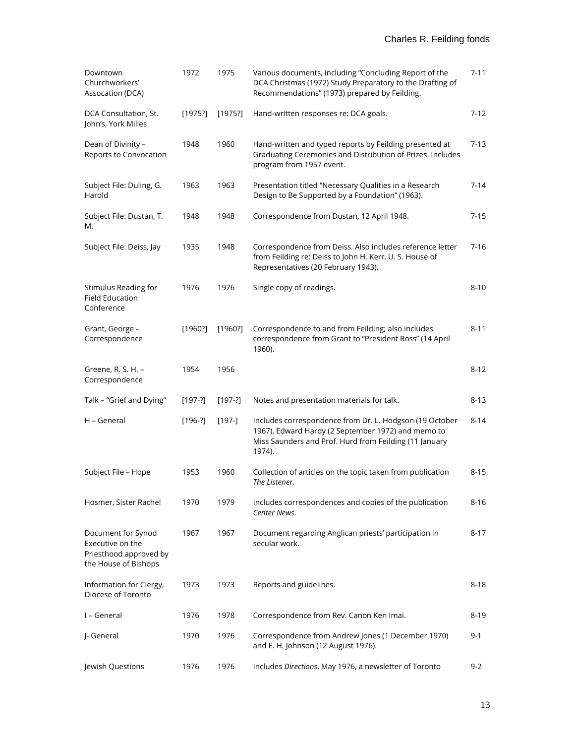| Downtown<br>Churchworkers'<br>Assocation (DCA)                                           | 1972      | 1975      | Various documents, including "Concluding Report of the<br>DCA Christmas (1972) Study Preparatory to the Drafting of<br>Recommendations" (1973) prepared by Feilding.              | $7 - 11$ |
|------------------------------------------------------------------------------------------|-----------|-----------|-----------------------------------------------------------------------------------------------------------------------------------------------------------------------------------|----------|
| DCA Consultation, St.<br>John's, York Milles                                             | [1975]    | [1975]    | Hand-written responses re: DCA goals.                                                                                                                                             | 7-12     |
| Dean of Divinity -<br>Reports to Convocation                                             | 1948      | 1960      | Hand-written and typed reports by Feilding presented at<br>Graduating Ceremonies and Distribution of Prizes. Includes<br>program from 1957 event.                                 | 7-13     |
| Subject File: Duling, G.<br>Harold                                                       | 1963      | 1963      | Presentation titled "Necessary Qualities in a Research<br>Design to Be Supported by a Foundation" (1963).                                                                         | $7 - 14$ |
| Subject File: Dustan, T.<br>М.                                                           | 1948      | 1948      | Correspondence from Dustan, 12 April 1948.                                                                                                                                        | 7-15     |
| Subject File: Deiss, Jay                                                                 | 1935      | 1948      | Correspondence from Deiss. Also includes reference letter<br>from Feilding re: Deiss to John H. Kerr, U. S. House of<br>Representatives (20 February 1943).                       | $7 - 16$ |
| Stimulus Reading for<br><b>Field Education</b><br>Conference                             | 1976      | 1976      | Single copy of readings.                                                                                                                                                          | $8 - 10$ |
| Grant, George -<br>Correspondence                                                        | [1960?]   | [1960?]   | Correspondence to and from Feilding; also includes<br>correspondence from Grant to "President Ross" (14 April<br>1960).                                                           | $8 - 11$ |
| Greene, R. S. H. -<br>Correspondence                                                     | 1954      | 1956      |                                                                                                                                                                                   | $8 - 12$ |
| Talk - "Grief and Dying"                                                                 | $[197-?]$ | $[197-?]$ | Notes and presentation materials for talk.                                                                                                                                        | 8-13     |
| H - General                                                                              | $[196-?]$ | $[197-]$  | Includes correspondence from Dr. L. Hodgson (19 October<br>1967), Edward Hardy (2 September 1972) and memo to<br>Miss Saunders and Prof. Hurd from Feilding (11 January<br>1974). | 8-14     |
| Subject File - Hope                                                                      | 1953      | 1960      | Collection of articles on the topic taken from publication<br>The Listener.                                                                                                       | $8 - 15$ |
| Hosmer, Sister Rachel                                                                    | 1970      | 1979      | Includes correspondences and copies of the publication<br>Center News.                                                                                                            | $8 - 16$ |
| Document for Synod<br>Executive on the<br>Priesthood approved by<br>the House of Bishops | 1967      | 1967      | Document regarding Anglican priests' participation in<br>secular work.                                                                                                            | 8-17     |
| Information for Clergy,<br>Diocese of Toronto                                            | 1973      | 1973      | Reports and guidelines.                                                                                                                                                           | $8 - 18$ |
| I - General                                                                              | 1976      | 1978      | Correspondence from Rev. Canon Ken Imai.                                                                                                                                          | $8 - 19$ |
| J- General                                                                               | 1970      | 1976      | Correspondence from Andrew Jones (1 December 1970)<br>and E. H. Johnson (12 August 1976).                                                                                         | 9-1      |
| Jewish Questions                                                                         | 1976      | 1976      | Includes Directions, May 1976, a newsletter of Toronto                                                                                                                            | $9 - 2$  |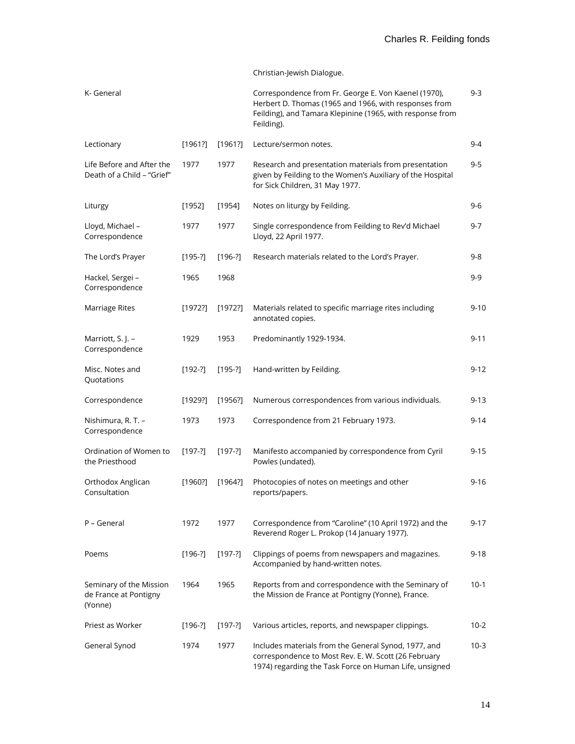### Christian-Jewish Dialogue.

| K- General                                                  |           |           | Correspondence from Fr. George E. Von Kaenel (1970),<br>Herbert D. Thomas (1965 and 1966, with responses from<br>Feilding), and Tamara Klepinine (1965, with response from<br>Feilding). | 9-3      |
|-------------------------------------------------------------|-----------|-----------|------------------------------------------------------------------------------------------------------------------------------------------------------------------------------------------|----------|
| Lectionary                                                  | [1961?]   | [1961?]   | Lecture/sermon notes.                                                                                                                                                                    | $9 - 4$  |
| Life Before and After the<br>Death of a Child - "Grief"     | 1977      | 1977      | Research and presentation materials from presentation<br>given by Feilding to the Women's Auxiliary of the Hospital<br>for Sick Children, 31 May 1977.                                   | 9-5      |
| Liturgy                                                     | [1952]    | [1954]    | Notes on liturgy by Feilding.                                                                                                                                                            | 9-6      |
| Lloyd, Michael -<br>Correspondence                          | 1977      | 1977      | Single correspondence from Feilding to Rev'd Michael<br>Lloyd, 22 April 1977.                                                                                                            | $9 - 7$  |
| The Lord's Prayer                                           | $[195-?]$ | $[196-?]$ | Research materials related to the Lord's Prayer.                                                                                                                                         | 9-8      |
| Hackel, Sergei -<br>Correspondence                          | 1965      | 1968      |                                                                                                                                                                                          | 9-9      |
| Marriage Rites                                              | [1972?]   | [1972?]   | Materials related to specific marriage rites including<br>annotated copies.                                                                                                              | $9 - 10$ |
| Marriott, S. J. -<br>Correspondence                         | 1929      | 1953      | Predominantly 1929-1934.                                                                                                                                                                 | $9 - 11$ |
| Misc. Notes and<br>Quotations                               | $[192-?]$ | $[195-?]$ | Hand-written by Feilding.                                                                                                                                                                | $9 - 12$ |
| Correspondence                                              | [1929?]   | [1956]    | Numerous correspondences from various individuals.                                                                                                                                       | $9 - 13$ |
| Nishimura, R. T. -<br>Correspondence                        | 1973      | 1973      | Correspondence from 21 February 1973.                                                                                                                                                    | $9 - 14$ |
| Ordination of Women to<br>the Priesthood                    | $[197-?]$ | $[197-?]$ | Manifesto accompanied by correspondence from Cyril<br>Powles (undated).                                                                                                                  | $9 - 15$ |
| Orthodox Anglican<br>Consultation                           | [1960?]   | [1964]    | Photocopies of notes on meetings and other<br>reports/papers.                                                                                                                            | $9 - 16$ |
| P – General                                                 | 1972      | 1977      | Correspondence from "Caroline" (10 April 1972) and the<br>Reverend Roger L. Prokop (14 January 1977).                                                                                    | $9 - 17$ |
| Poems                                                       | $[196-?]$ | $[197-?]$ | Clippings of poems from newspapers and magazines.<br>Accompanied by hand-written notes.                                                                                                  | $9 - 18$ |
| Seminary of the Mission<br>de France at Pontigny<br>(Yonne) | 1964      | 1965      | Reports from and correspondence with the Seminary of<br>the Mission de France at Pontigny (Yonne), France.                                                                               | $10-1$   |
| Priest as Worker                                            | $[196-?]$ | $[197-?]$ | Various articles, reports, and newspaper clippings.                                                                                                                                      | $10 - 2$ |
| General Synod                                               | 1974      | 1977      | Includes materials from the General Synod, 1977, and<br>correspondence to Most Rev. E. W. Scott (26 February<br>1974) regarding the Task Force on Human Life, unsigned                   | $10-3$   |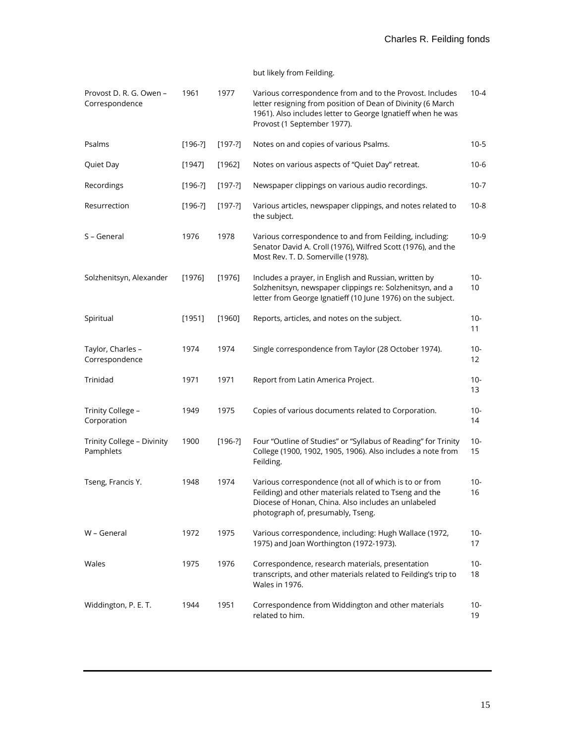### but likely from Feilding.

| Provost D. R. G. Owen -<br>Correspondence | 1961      | 1977      | Various correspondence from and to the Provost. Includes<br>letter resigning from position of Dean of Divinity (6 March<br>1961). Also includes letter to George Ignatieff when he was<br>Provost (1 September 1977). | $10 - 4$     |
|-------------------------------------------|-----------|-----------|-----------------------------------------------------------------------------------------------------------------------------------------------------------------------------------------------------------------------|--------------|
| Psalms                                    | $[196-?]$ | $[197-?]$ | Notes on and copies of various Psalms.                                                                                                                                                                                | $10 - 5$     |
| Quiet Day                                 | [1947]    | [1962]    | Notes on various aspects of "Quiet Day" retreat.                                                                                                                                                                      | $10-6$       |
| Recordings                                | $[196-?]$ | $[197-?]$ | Newspaper clippings on various audio recordings.                                                                                                                                                                      | $10 - 7$     |
| Resurrection                              | $[196-?]$ | $[197-?]$ | Various articles, newspaper clippings, and notes related to<br>the subject.                                                                                                                                           | $10-8$       |
| S - General                               | 1976      | 1978      | Various correspondence to and from Feilding, including:<br>Senator David A. Croll (1976), Wilfred Scott (1976), and the<br>Most Rev. T. D. Somerville (1978).                                                         | $10-9$       |
| Solzhenitsyn, Alexander                   | [1976]    | [1976]    | Includes a prayer, in English and Russian, written by<br>Solzhenitsyn, newspaper clippings re: Solzhenitsyn, and a<br>letter from George Ignatieff (10 June 1976) on the subject.                                     | 10-<br>10    |
| Spiritual                                 | [1951]    | [1960]    | Reports, articles, and notes on the subject.                                                                                                                                                                          | $10-$<br>11  |
| Taylor, Charles -<br>Correspondence       | 1974      | 1974      | Single correspondence from Taylor (28 October 1974).                                                                                                                                                                  | $10 -$<br>12 |
| Trinidad                                  | 1971      | 1971      | Report from Latin America Project.                                                                                                                                                                                    | $10-$<br>13  |
| Trinity College -<br>Corporation          | 1949      | 1975      | Copies of various documents related to Corporation.                                                                                                                                                                   | 10-<br>14    |
| Trinity College - Divinity<br>Pamphlets   | 1900      | $[196-?]$ | Four "Outline of Studies" or "Syllabus of Reading" for Trinity<br>College (1900, 1902, 1905, 1906). Also includes a note from<br>Feilding.                                                                            | $10-$<br>15  |
| Tseng, Francis Y.                         | 1948      | 1974      | Various correspondence (not all of which is to or from<br>Feilding) and other materials related to Tseng and the<br>Diocese of Honan, China. Also includes an unlabeled<br>photograph of, presumably, Tseng.          | $10 -$<br>16 |
| W - General                               | 1972      | 1975      | Various correspondence, including: Hugh Wallace (1972,<br>1975) and Joan Worthington (1972-1973).                                                                                                                     | 10-<br>17    |
| Wales                                     | 1975      | 1976      | Correspondence, research materials, presentation<br>transcripts, and other materials related to Feilding's trip to<br><b>Wales in 1976.</b>                                                                           | $10-$<br>18  |
| Widdington, P. E. T.                      | 1944      | 1951      | Correspondence from Widdington and other materials<br>related to him.                                                                                                                                                 | $10 -$<br>19 |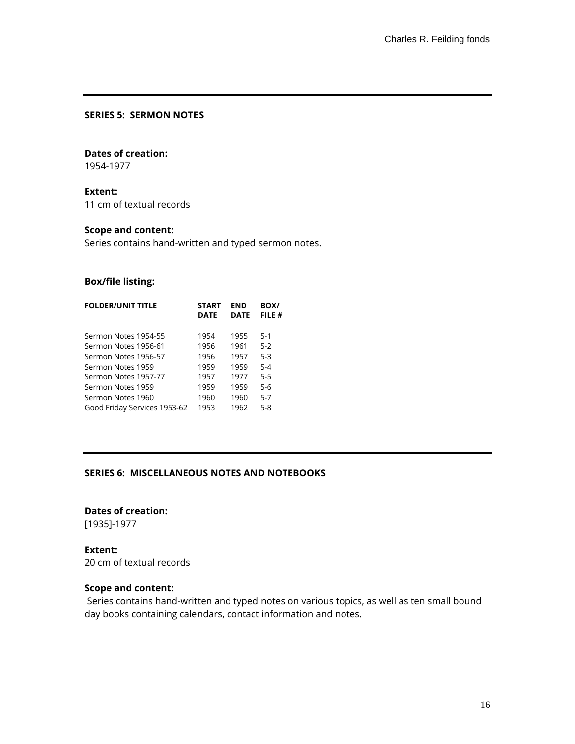### **SERIES 5: SERMON NOTES**

#### **Dates of creation:**

1954-1977

## **Extent:**

11 cm of textual records

### **Scope and content:**

Series contains hand-written and typed sermon notes.

### **Box/file listing:**

| <b>FOLDER/UNIT TITLE</b>     | <b>START</b><br><b>DATE</b> | END<br><b>DATE</b> | BOX/<br>FILE # |
|------------------------------|-----------------------------|--------------------|----------------|
| Sermon Notes 1954-55         | 1954                        | 1955               | $5 - 1$        |
| Sermon Notes 1956-61         | 1956                        | 1961               | $5-2$          |
| Sermon Notes 1956-57         | 1956                        | 1957               | $5-3$          |
| Sermon Notes 1959            | 1959                        | 1959               | $5 - 4$        |
| Sermon Notes 1957-77         | 1957                        | 1977               | $5 - 5$        |
| Sermon Notes 1959            | 1959                        | 1959               | $5-6$          |
| Sermon Notes 1960            | 1960                        | 1960               | $5 - 7$        |
| Good Friday Services 1953-62 | 1953                        | 1962               | $5 - 8$        |
|                              |                             |                    |                |

#### **SERIES 6: MISCELLANEOUS NOTES AND NOTEBOOKS**

# **Dates of creation:**

[1935]-1977

### **Extent:**

20 cm of textual records

### **Scope and content:**

Series contains hand-written and typed notes on various topics, as well as ten small bound day books containing calendars, contact information and notes.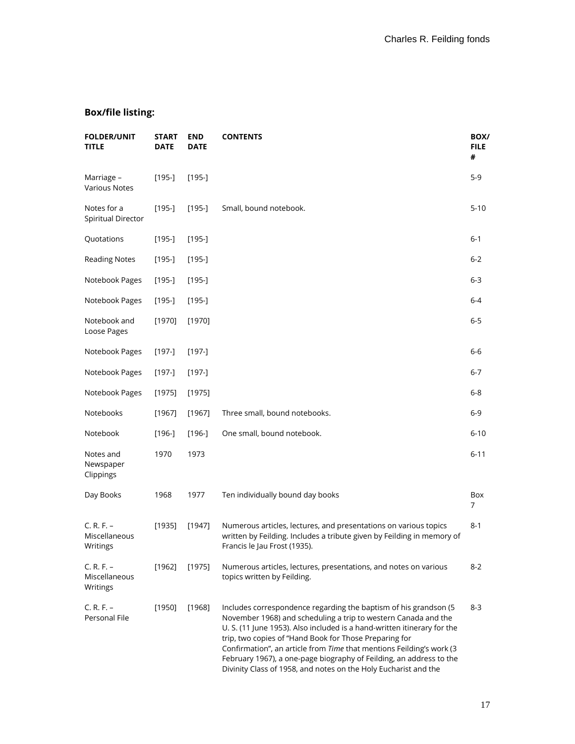| <b>FOLDER/UNIT</b><br><b>TITLE</b>        | <b>START</b><br><b>DATE</b> | <b>END</b><br><b>DATE</b> | <b>CONTENTS</b>                                                                                                                                                                                                                                                                                                                                                                                                                                                                            | BOX/<br><b>FILE</b><br># |
|-------------------------------------------|-----------------------------|---------------------------|--------------------------------------------------------------------------------------------------------------------------------------------------------------------------------------------------------------------------------------------------------------------------------------------------------------------------------------------------------------------------------------------------------------------------------------------------------------------------------------------|--------------------------|
| Marriage -<br><b>Various Notes</b>        | $[195-]$                    | $[195-]$                  |                                                                                                                                                                                                                                                                                                                                                                                                                                                                                            | $5-9$                    |
| Notes for a<br>Spiritual Director         | $[195-]$                    | $[195-]$                  | Small, bound notebook.                                                                                                                                                                                                                                                                                                                                                                                                                                                                     | $5 - 10$                 |
| Quotations                                | $[195-]$                    | $[195-]$                  |                                                                                                                                                                                                                                                                                                                                                                                                                                                                                            | $6 - 1$                  |
| <b>Reading Notes</b>                      | $[195-]$                    | $[195-]$                  |                                                                                                                                                                                                                                                                                                                                                                                                                                                                                            | $6 - 2$                  |
| Notebook Pages                            | $[195-]$                    | $[195-]$                  |                                                                                                                                                                                                                                                                                                                                                                                                                                                                                            | 6-3                      |
| Notebook Pages                            | $[195-]$                    | $[195-]$                  |                                                                                                                                                                                                                                                                                                                                                                                                                                                                                            | $6 - 4$                  |
| Notebook and<br>Loose Pages               | [1970]                      | [1970]                    |                                                                                                                                                                                                                                                                                                                                                                                                                                                                                            | 6-5                      |
| Notebook Pages                            | $[197-]$                    | $[197-]$                  |                                                                                                                                                                                                                                                                                                                                                                                                                                                                                            | $6-6$                    |
| Notebook Pages                            | $[197-]$                    | $[197-]$                  |                                                                                                                                                                                                                                                                                                                                                                                                                                                                                            | $6 - 7$                  |
| Notebook Pages                            | [1975]                      | [1975]                    |                                                                                                                                                                                                                                                                                                                                                                                                                                                                                            | 6-8                      |
| Notebooks                                 | [1967]                      | [1967]                    | Three small, bound notebooks.                                                                                                                                                                                                                                                                                                                                                                                                                                                              | $6 - 9$                  |
| Notebook                                  | $[196-]$                    | $[196-]$                  | One small, bound notebook.                                                                                                                                                                                                                                                                                                                                                                                                                                                                 | $6 - 10$                 |
| Notes and<br>Newspaper<br>Clippings       | 1970                        | 1973                      |                                                                                                                                                                                                                                                                                                                                                                                                                                                                                            | $6 - 11$                 |
| Day Books                                 | 1968                        | 1977                      | Ten individually bound day books                                                                                                                                                                                                                                                                                                                                                                                                                                                           | Box<br>7                 |
| $C. R. F. -$<br>Miscellaneous<br>Writings | [1935]                      | [1947]                    | Numerous articles, lectures, and presentations on various topics<br>written by Feilding. Includes a tribute given by Feilding in memory of<br>Francis le Jau Frost (1935).                                                                                                                                                                                                                                                                                                                 | $8 - 1$                  |
| $C. R. F. -$<br>Miscellaneous<br>Writings | [1962]                      | [1975]                    | Numerous articles, lectures, presentations, and notes on various<br>topics written by Feilding.                                                                                                                                                                                                                                                                                                                                                                                            | $8 - 2$                  |
| $C. R. F. -$<br>Personal File             | [1950]                      | [1968]                    | Includes correspondence regarding the baptism of his grandson (5)<br>November 1968) and scheduling a trip to western Canada and the<br>U. S. (11 June 1953). Also included is a hand-written itinerary for the<br>trip, two copies of "Hand Book for Those Preparing for<br>Confirmation", an article from Time that mentions Feilding's work (3<br>February 1967), a one-page biography of Feilding, an address to the<br>Divinity Class of 1958, and notes on the Holy Eucharist and the | $8 - 3$                  |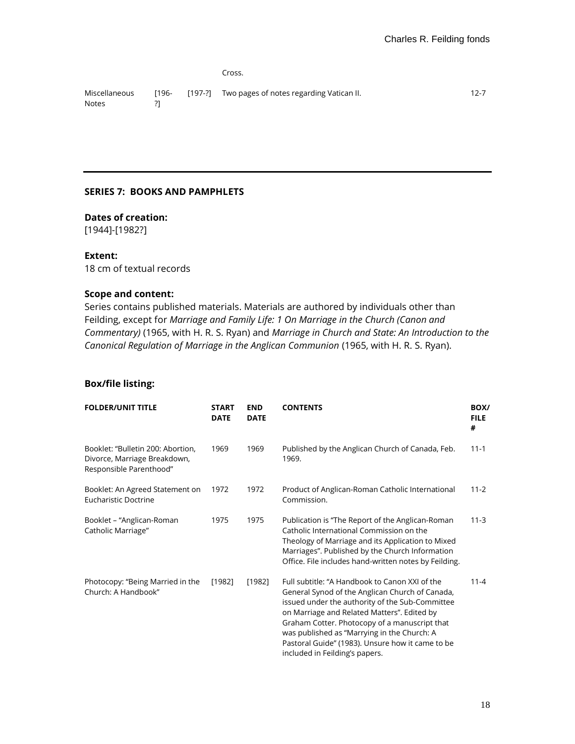Cross.

Miscellaneous Notes [196- ?] [197-?] Two pages of notes regarding Vatican II. 12-7

### **SERIES 7: BOOKS AND PAMPHLETS**

### **Dates of creation:**

[1944]-[1982?]

#### **Extent:**

18 cm of textual records

### **Scope and content:**

Series contains published materials. Materials are authored by individuals other than Feilding, except for *Marriage and Family Life: 1 On Marriage in the Church (Canon and Commentary)* (1965, with H. R. S. Ryan) and *Marriage in Church and State: An Introduction to the Canonical Regulation of Marriage in the Anglican Communion* (1965, with H. R. S. Ryan).

| <b>FOLDER/UNIT TITLE</b>                                                                     | <b>START</b><br><b>DATE</b> | <b>END</b><br><b>DATE</b> | <b>CONTENTS</b>                                                                                                                                                                                                                                                                                                                                                                           | BOX/<br><b>FILE</b><br># |
|----------------------------------------------------------------------------------------------|-----------------------------|---------------------------|-------------------------------------------------------------------------------------------------------------------------------------------------------------------------------------------------------------------------------------------------------------------------------------------------------------------------------------------------------------------------------------------|--------------------------|
| Booklet: "Bulletin 200: Abortion,<br>Divorce, Marriage Breakdown,<br>Responsible Parenthood" | 1969                        | 1969                      | Published by the Anglican Church of Canada, Feb.<br>1969.                                                                                                                                                                                                                                                                                                                                 | $11 - 1$                 |
| Booklet: An Agreed Statement on<br>Eucharistic Doctrine                                      | 1972                        | 1972                      | Product of Anglican-Roman Catholic International<br>Commission.                                                                                                                                                                                                                                                                                                                           | $11 - 2$                 |
| Booklet - "Anglican-Roman<br>Catholic Marriage"                                              | 1975                        | 1975                      | Publication is "The Report of the Anglican-Roman<br>Catholic International Commission on the<br>Theology of Marriage and its Application to Mixed<br>Marriages". Published by the Church Information<br>Office. File includes hand-written notes by Feilding.                                                                                                                             | $11-3$                   |
| Photocopy: "Being Married in the<br>Church: A Handbook"                                      | [1982]                      | [1982]                    | Full subtitle: "A Handbook to Canon XXI of the<br>General Synod of the Anglican Church of Canada,<br>issued under the authority of the Sub-Committee<br>on Marriage and Related Matters". Edited by<br>Graham Cotter. Photocopy of a manuscript that<br>was published as "Marrying in the Church: A<br>Pastoral Guide" (1983). Unsure how it came to be<br>included in Feilding's papers. | $11 - 4$                 |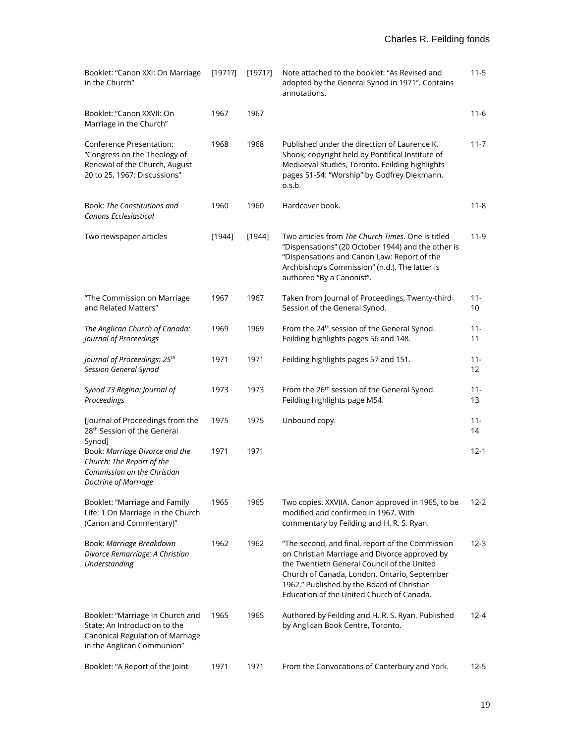| Booklet: "Canon XXI: On Marriage<br>in the Church"                                                                                  | [1971?] | [1971?] | Note attached to the booklet: "As Revised and<br>adopted by the General Synod in 1971". Contains<br>annotations.                                                                                                                                                                            | $11 - 5$     |
|-------------------------------------------------------------------------------------------------------------------------------------|---------|---------|---------------------------------------------------------------------------------------------------------------------------------------------------------------------------------------------------------------------------------------------------------------------------------------------|--------------|
| Booklet: "Canon XXVII: On<br>Marriage in the Church"                                                                                | 1967    | 1967    |                                                                                                                                                                                                                                                                                             | $11 - 6$     |
| Conference Presentation:<br>"Congress on the Theology of<br>Renewal of the Church, August<br>20 to 25, 1967: Discussions"           | 1968    | 1968    | Published under the direction of Laurence K.<br>Shook; copyright held by Pontifical Institute of<br>Mediaeval Studies, Toronto. Feilding highlights<br>pages 51-54: "Worship" by Godfrey Diekmann,<br>o.s.b.                                                                                | $11 - 7$     |
| Book: The Constitutions and<br>Canons Ecclesiastical                                                                                | 1960    | 1960    | Hardcover book.                                                                                                                                                                                                                                                                             | $11 - 8$     |
| Two newspaper articles                                                                                                              | [1944]  | [1944]  | Two articles from The Church Times. One is titled<br>"Dispensations" (20 October 1944) and the other is<br>"Dispensations and Canon Law: Report of the<br>Archbishop's Commission" (n.d.). The latter is<br>authored "By a Canonist".                                                       | $11-9$       |
| "The Commission on Marriage<br>and Related Matters"                                                                                 | 1967    | 1967    | Taken from Journal of Proceedings, Twenty-third<br>Session of the General Synod.                                                                                                                                                                                                            | $11 -$<br>10 |
| The Anglican Church of Canada:<br>Journal of Proceedings                                                                            | 1969    | 1969    | From the 24 <sup>th</sup> session of the General Synod.<br>Feilding highlights pages 56 and 148.                                                                                                                                                                                            | $11 -$<br>11 |
| Journal of Proceedings: 25 <sup>th</sup><br>Session General Synod                                                                   | 1971    | 1971    | Feilding highlights pages 57 and 151.                                                                                                                                                                                                                                                       | $11 -$<br>12 |
| Synod 73 Regina: Journal of<br>Proceedings                                                                                          | 1973    | 1973    | From the 26 <sup>th</sup> session of the General Synod.<br>Feilding highlights page M54.                                                                                                                                                                                                    | $11 -$<br>13 |
| [Journal of Proceedings from the<br>28 <sup>th</sup> Session of the General<br>Synod]                                               | 1975    | 1975    | Unbound copy.                                                                                                                                                                                                                                                                               | $11 -$<br>14 |
| Book: Marriage Divorce and the<br>Church: The Report of the<br>Commission on the Christian<br>Doctrine of Marriage                  | 1971    | 1971    |                                                                                                                                                                                                                                                                                             | $12 - 1$     |
| Booklet: "Marriage and Family<br>Life: 1 On Marriage in the Church<br>(Canon and Commentary)"                                       | 1965    | 1965    | Two copies. XXVIIA. Canon approved in 1965, to be<br>modified and confirmed in 1967. With<br>commentary by Feilding and H. R. S. Ryan.                                                                                                                                                      | 12-2         |
| Book: Marriage Breakdown<br>Divorce Remarriage: A Christian<br>Understanding                                                        | 1962    | 1962    | "The second, and final, report of the Commission<br>on Christian Marriage and Divorce approved by<br>the Twentieth General Council of the United<br>Church of Canada, London, Ontario, September<br>1962." Published by the Board of Christian<br>Education of the United Church of Canada. | $12 - 3$     |
| Booklet: "Marriage in Church and<br>State: An Introduction to the<br>Canonical Regulation of Marriage<br>in the Anglican Communion" | 1965    | 1965    | Authored by Feilding and H. R. S. Ryan. Published<br>by Anglican Book Centre, Toronto.                                                                                                                                                                                                      | $12 - 4$     |
| Booklet: "A Report of the Joint                                                                                                     | 1971    | 1971    | From the Convocations of Canterbury and York.                                                                                                                                                                                                                                               | $12 - 5$     |